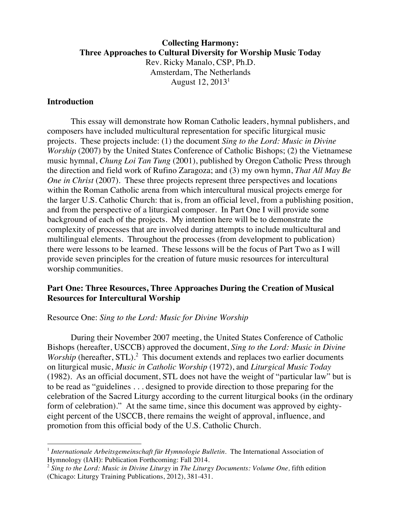# **Collecting Harmony: Three Approaches to Cultural Diversity for Worship Music Today** Rev. Ricky Manalo, CSP, Ph.D. Amsterdam, The Netherlands August  $12, 2013<sup>1</sup>$

## **Introduction**

 $\overline{a}$ 

This essay will demonstrate how Roman Catholic leaders, hymnal publishers, and composers have included multicultural representation for specific liturgical music projects. These projects include: (1) the document *Sing to the Lord: Music in Divine Worship* (2007) by the United States Conference of Catholic Bishops; (2) the Vietnamese music hymnal, *Chung Loi Tan Tung* (2001), published by Oregon Catholic Press through the direction and field work of Rufino Zaragoza; and (3) my own hymn, *That All May Be One in Christ* (2007). These three projects represent three perspectives and locations within the Roman Catholic arena from which intercultural musical projects emerge for the larger U.S. Catholic Church: that is, from an official level, from a publishing position, and from the perspective of a liturgical composer. In Part One I will provide some background of each of the projects. My intention here will be to demonstrate the complexity of processes that are involved during attempts to include multicultural and multilingual elements. Throughout the processes (from development to publication) there were lessons to be learned. These lessons will be the focus of Part Two as I will provide seven principles for the creation of future music resources for intercultural worship communities.

## **Part One: Three Resources, Three Approaches During the Creation of Musical Resources for Intercultural Worship**

#### Resource One: *Sing to the Lord: Music for Divine Worship*

During their November 2007 meeting, the United States Conference of Catholic Bishops (hereafter, USCCB) approved the document, *Sing to the Lord: Music in Divine Worship* (hereafter, STL).<sup>2</sup> This document extends and replaces two earlier documents on liturgical music, *Music in Catholic Worship* (1972), and *Liturgical Music Today* (1982). As an official document, STL does not have the weight of "particular law" but is to be read as "guidelines . . . designed to provide direction to those preparing for the celebration of the Sacred Liturgy according to the current liturgical books (in the ordinary form of celebration)." At the same time, since this document was approved by eightyeight percent of the USCCB, there remains the weight of approval, influence, and promotion from this official body of the U.S. Catholic Church.

<sup>&</sup>lt;sup>1</sup> Internationale Arbeitsgemeinschaft für Hymnologie Bulletin. The International Association of Hymnology (IAH): Publication Forthcoming: Fall 2014.

<sup>2</sup> *Sing to the Lord: Music in Divine Liturgy* in *The Liturgy Documents: Volume One,* fifth edition (Chicago: Liturgy Training Publications, 2012), 381-431.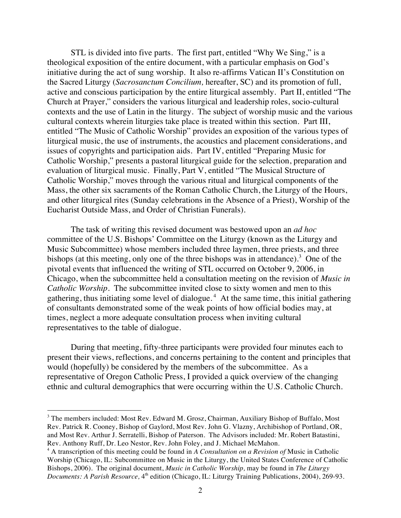STL is divided into five parts. The first part, entitled "Why We Sing," is a theological exposition of the entire document, with a particular emphasis on God's initiative during the act of sung worship. It also re-affirms Vatican II's Constitution on the Sacred Liturgy (*Sacrosanctum Concilium,* hereafter, SC) and its promotion of full, active and conscious participation by the entire liturgical assembly. Part II, entitled "The Church at Prayer," considers the various liturgical and leadership roles, socio-cultural contexts and the use of Latin in the liturgy. The subject of worship music and the various cultural contexts wherein liturgies take place is treated within this section. Part III, entitled "The Music of Catholic Worship" provides an exposition of the various types of liturgical music, the use of instruments, the acoustics and placement considerations, and issues of copyrights and participation aids. Part IV, entitled "Preparing Music for Catholic Worship," presents a pastoral liturgical guide for the selection, preparation and evaluation of liturgical music. Finally, Part V, entitled "The Musical Structure of Catholic Worship," moves through the various ritual and liturgical components of the Mass, the other six sacraments of the Roman Catholic Church, the Liturgy of the Hours, and other liturgical rites (Sunday celebrations in the Absence of a Priest), Worship of the Eucharist Outside Mass, and Order of Christian Funerals).

The task of writing this revised document was bestowed upon an *ad hoc* committee of the U.S. Bishops' Committee on the Liturgy (known as the Liturgy and Music Subcommittee) whose members included three laymen, three priests, and three bishops (at this meeting, only one of the three bishops was in attendance).<sup>3</sup> One of the pivotal events that influenced the writing of STL occurred on October 9, 2006, in Chicago, when the subcommittee held a consultation meeting on the revision of *Music in Catholic Worship.* The subcommittee invited close to sixty women and men to this gathering, thus initiating some level of dialogue.<sup>4</sup> At the same time, this initial gathering of consultants demonstrated some of the weak points of how official bodies may, at times, neglect a more adequate consultation process when inviting cultural representatives to the table of dialogue.

During that meeting, fifty-three participants were provided four minutes each to present their views, reflections, and concerns pertaining to the content and principles that would (hopefully) be considered by the members of the subcommittee. As a representative of Oregon Catholic Press, I provided a quick overview of the changing ethnic and cultural demographics that were occurring within the U.S. Catholic Church.

<sup>&</sup>lt;sup>3</sup> The members included: Most Rev. Edward M. Grosz, Chairman, Auxiliary Bishop of Buffalo, Most Rev. Patrick R. Cooney, Bishop of Gaylord, Most Rev. John G. Vlazny, Archibishop of Portland, OR, and Most Rev. Arthur J. Serratelli, Bishop of Paterson. The Advisors included: Mr. Robert Batastini, Rev. Anthony Ruff, Dr. Leo Nestor, Rev. John Foley, and J. Michael McMahon.

<sup>4</sup> A transcription of this meeting could be found in *A Consultation on a Revision of* Music in Catholic Worship (Chicago, IL: Subcommittee on Music in the Liturgy, the United States Conference of Catholic Bishops, 2006). The original document, *Music in Catholic Worship,* may be found in *The Liturgy Documents: A Parish Resource,* 4<sup>th</sup> edition (Chicago, IL: Liturgy Training Publications, 2004), 269-93.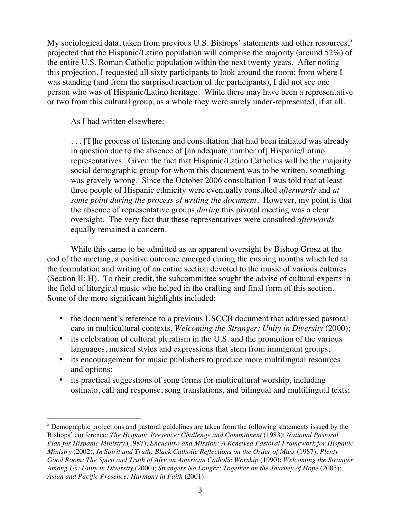My sociological data, taken from previous U.S. Bishops' statements and other resources,<sup>5</sup> projected that the Hispanic/Latino population will comprise the majority (around 52%) of the entire U.S. Roman Catholic population within the next twenty years. After noting this projection, I requested all sixty participants to look around the room: from where I was standing (and from the surprised reaction of the participants), I did not see one person who was of Hispanic/Latino heritage. While there may have been a representative or two from this cultural group, as a whole they were surely under-represented, if at all.

As I had written elsewhere:

 $\overline{a}$ 

. . . [T]he process of listening and consultation that had been initiated was already in question due to the absence of [an adequate number of] Hispanic/Latino representatives. Given the fact that Hispanic/Latino Catholics will be the majority social demographic group for whom this document was to be written, something was gravely wrong. Since the October 2006 consultation I was told that at least three people of Hispanic ethnicity were eventually consulted *afterwards* and *at some point during the process of writing the document*. However, my point is that the absence of representative groups *during* this pivotal meeting was a clear oversight. The very fact that these representatives were consulted *afterwards* equally remained a concern.

While this came to be admitted as an apparent oversight by Bishop Grosz at the end of the meeting, a positive outcome emerged during the ensuing months which led to the formulation and writing of an entire section devoted to the music of various cultures (Section II: H). To their credit, the subcommittee sought the advise of cultural experts in the field of liturgical music who helped in the crafting and final form of this section. Some of the more significant highlights included:

- the document's reference to a previous USCCB document that addressed pastoral care in multicultural contexts, *Welcoming the Stranger: Unity in Diversity* (2000);
- its celebration of cultural pluralism in the U.S. and the promotion of the various languages, musical styles and expressions that stem from immigrant groups;
- its encouragement for music publishers to produce more multilingual resources and options;
- its practical suggestions of song forms for multicultural worship, including ostinato, call and response, song translations, and bilingual and multilingual texts;

<sup>&</sup>lt;sup>5</sup> Demographic projections and pastoral guidelines are taken from the following statements issued by the Bishops' conference: *The Hispanic Presence: Challenge and Commitment* (1983); *National Pastoral Plan for Hispanic Ministry* (1987); *Encuentro and Mission: A Renewed Pastoral Framework for Hispanic Ministry* (2002); *In Spirit and Truth: Black Catholic Reflections on the Order of Mass* (1987); *Plenty Good Room: The Spirit and Truth of African American Catholic Worship* (1990); *Welcoming the Stranger Among Us: Unity in Diversity* (2000); *Strangers No Longer: Together on the Journey of Hope* (2003); *Asian and Pacific Presence: Harmony in Faith* (2001).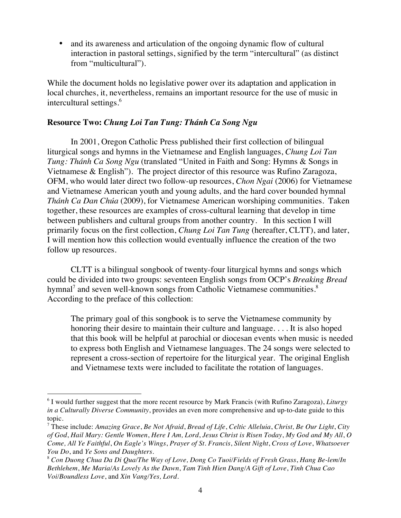• and its awareness and articulation of the ongoing dynamic flow of cultural interaction in pastoral settings, signified by the term "intercultural" (as distinct from "multicultural").

While the document holds no legislative power over its adaptation and application in local churches, it, nevertheless, remains an important resource for the use of music in intercultural settings. 6

## **Resource Two:** *Chung Loi Tan Tung: Thánh Ca Song Ngu*

In 2001, Oregon Catholic Press published their first collection of bilingual liturgical songs and hymns in the Vietnamese and English languages, *Chung Loi Tan Tung: Thánh Ca Song Ngu* (translated "United in Faith and Song: Hymns & Songs in Vietnamese & English"). The project director of this resource was Rufino Zaragoza, OFM, who would later direct two follow-up resources, *Chon Ngai* (2006) for Vietnamese and Vietnamese American youth and young adults*,* and the hard cover bounded hymnal *Thánh Ca Dan Chúa* (2009), for Vietnamese American worshiping communities*.* Taken together, these resources are examples of cross-cultural learning that develop in time between publishers and cultural groups from another country. In this section I will primarily focus on the first collection, *Chung Loi Tan Tung* (hereafter, CLTT), and later, I will mention how this collection would eventually influence the creation of the two follow up resources.

CLTT is a bilingual songbook of twenty-four liturgical hymns and songs which could be divided into two groups: seventeen English songs from OCP's *Breaking Bread* hymnal<sup>7</sup> and seven well-known songs from Catholic Vietnamese communities. $8$ According to the preface of this collection:

The primary goal of this songbook is to serve the Vietnamese community by honoring their desire to maintain their culture and language. . . . It is also hoped that this book will be helpful at parochial or diocesan events when music is needed to express both English and Vietnamese languages. The 24 songs were selected to represent a cross-section of repertoire for the liturgical year. The original English and Vietnamese texts were included to facilitate the rotation of languages.

<sup>6</sup> I would further suggest that the more recent resource by Mark Francis (with Rufino Zaragoza), *Liturgy in a Culturally Diverse Community*, provides an even more comprehensive and up-to-date guide to this topic.

<sup>7</sup> These include: *Amazing Grace*, *Be Not Afraid*, *Bread of Life*, *Celtic Alleluia*, *Christ, Be Our Light*, *City of God*, *Hail Mary: Gentle Women*, *Here I Am, Lord*, *Jesus Christ is Risen Today*, *My God and My All*, *O Come, All Ye Faithful*, *On Eagle's Wings*, *Prayer of St. Francis*, *Silent Night*, *Cross of Love*, *Whatsoever You Do*, and *Ye Sons and Daughters*.

<sup>8</sup> *Con Duong Chua Da Di Qua/The Way of Love, Dong Co Tuoi/Fields of Fresh Grass*, *Hang Be-lem/In Bethlehem*, *Me Maria/As Lovely As the Dawn*, *Tam Tinh Hien Dang/A Gift of Love*, *Tinh Chua Cao Voi/Boundless Love*, and *Xin Vang/Yes, Lord*.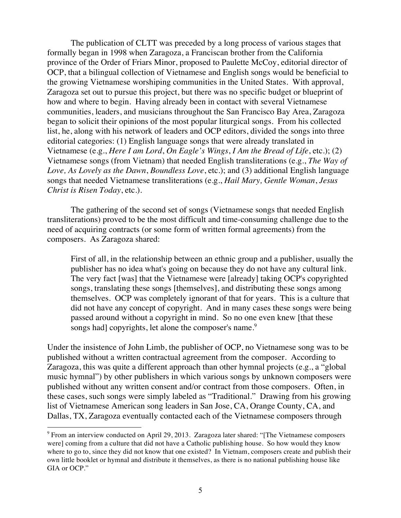The publication of CLTT was preceded by a long process of various stages that formally began in 1998 when Zaragoza, a Franciscan brother from the California province of the Order of Friars Minor, proposed to Paulette McCoy, editorial director of OCP, that a bilingual collection of Vietnamese and English songs would be beneficial to the growing Vietnamese worshiping communities in the United States. With approval, Zaragoza set out to pursue this project, but there was no specific budget or blueprint of how and where to begin. Having already been in contact with several Vietnamese communities, leaders, and musicians throughout the San Francisco Bay Area, Zaragoza began to solicit their opinions of the most popular liturgical songs. From his collected list, he, along with his network of leaders and OCP editors, divided the songs into three editorial categories: (1) English language songs that were already translated in Vietnamese (e.g., *Here I am Lord*, *On Eagle's Wings*, *I Am the Bread of Life*, etc.); (2) Vietnamese songs (from Vietnam) that needed English transliterations (e.g., *The Way of Love, As Lovely as the Dawn*, *Boundless Love*, etc.); and (3) additional English language songs that needed Vietnamese transliterations (e.g., *Hail Mary, Gentle Woman*, *Jesus Christ is Risen Today*, etc.).

The gathering of the second set of songs (Vietnamese songs that needed English transliterations) proved to be the most difficult and time-consuming challenge due to the need of acquiring contracts (or some form of written formal agreements) from the composers. As Zaragoza shared:

First of all, in the relationship between an ethnic group and a publisher, usually the publisher has no idea what's going on because they do not have any cultural link. The very fact [was] that the Vietnamese were [already] taking OCP's copyrighted songs, translating these songs [themselves], and distributing these songs among themselves. OCP was completely ignorant of that for years. This is a culture that did not have any concept of copyright. And in many cases these songs were being passed around without a copyright in mind. So no one even knew [that these songs had] copyrights, let alone the composer's name.<sup>9</sup>

Under the insistence of John Limb, the publisher of OCP, no Vietnamese song was to be published without a written contractual agreement from the composer. According to Zaragoza, this was quite a different approach than other hymnal projects (e.g., a "global music hymnal") by other publishers in which various songs by unknown composers were published without any written consent and/or contract from those composers. Often, in these cases, such songs were simply labeled as "Traditional." Drawing from his growing list of Vietnamese American song leaders in San Jose, CA, Orange County, CA, and Dallas, TX, Zaragoza eventually contacted each of the Vietnamese composers through

<sup>&</sup>lt;sup>9</sup> From an interview conducted on April 29, 2013. Zaragoza later shared: "[The Vietnamese composers were] coming from a culture that did not have a Catholic publishing house. So how would they know where to go to, since they did not know that one existed? In Vietnam, composers create and publish their own little booklet or hymnal and distribute it themselves, as there is no national publishing house like GIA or OCP."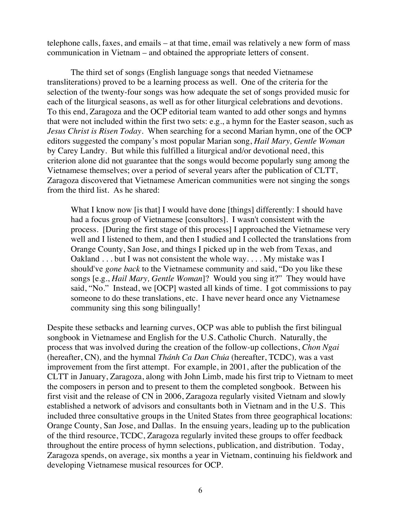telephone calls, faxes, and emails – at that time, email was relatively a new form of mass communication in Vietnam – and obtained the appropriate letters of consent.

The third set of songs (English language songs that needed Vietnamese transliterations) proved to be a learning process as well. One of the criteria for the selection of the twenty-four songs was how adequate the set of songs provided music for each of the liturgical seasons, as well as for other liturgical celebrations and devotions. To this end, Zaragoza and the OCP editorial team wanted to add other songs and hymns that were not included within the first two sets: e.g., a hymn for the Easter season, such as *Jesus Christ is Risen Today.* When searching for a second Marian hymn, one of the OCP editors suggested the company's most popular Marian song, *Hail Mary, Gentle Woman* by Carey Landry. But while this fulfilled a liturgical and/or devotional need, this criterion alone did not guarantee that the songs would become popularly sung among the Vietnamese themselves; over a period of several years after the publication of CLTT, Zaragoza discovered that Vietnamese American communities were not singing the songs from the third list. As he shared:

What I know now [is that] I would have done [things] differently: I should have had a focus group of Vietnamese [consultors]. I wasn't consistent with the process. [During the first stage of this process] I approached the Vietnamese very well and I listened to them, and then I studied and I collected the translations from Orange County, San Jose, and things I picked up in the web from Texas, and Oakland . . . but I was not consistent the whole way. . . . My mistake was I should've *gone back* to the Vietnamese community and said, "Do you like these songs [e.g., *Hail Mary, Gentle Woman*]? Would you sing it?" They would have said, "No." Instead, we [OCP] wasted all kinds of time. I got commissions to pay someone to do these translations, etc. I have never heard once any Vietnamese community sing this song bilingually!

Despite these setbacks and learning curves, OCP was able to publish the first bilingual songbook in Vietnamese and English for the U.S. Catholic Church. Naturally, the process that was involved during the creation of the follow-up collections, *Chon Ngai* (hereafter, CN)*,* and the hymnal *Thánh Ca Dan Chúa* (hereafter, TCDC)*,* was a vast improvement from the first attempt. For example, in 2001, after the publication of the CLTT in January, Zaragoza, along with John Limb, made his first trip to Vietnam to meet the composers in person and to present to them the completed songbook. Between his first visit and the release of CN in 2006, Zaragoza regularly visited Vietnam and slowly established a network of advisors and consultants both in Vietnam and in the U.S. This included three consultative groups in the United States from three geographical locations: Orange County, San Jose, and Dallas. In the ensuing years, leading up to the publication of the third resource, TCDC, Zaragoza regularly invited these groups to offer feedback throughout the entire process of hymn selections, publication, and distribution. Today, Zaragoza spends, on average, six months a year in Vietnam, continuing his fieldwork and developing Vietnamese musical resources for OCP.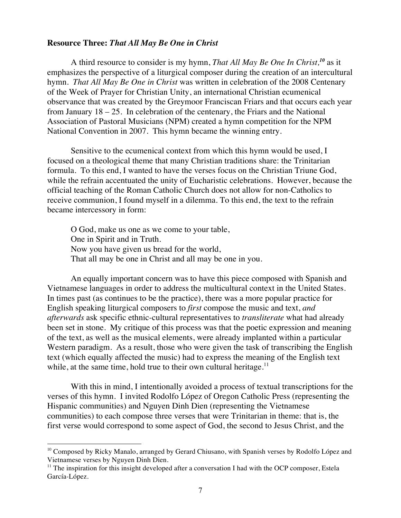#### **Resource Three:** *That All May Be One in Christ*

A third resource to consider is my hymn, *That All May Be One In Christ,<sup>10</sup>* as it emphasizes the perspective of a liturgical composer during the creation of an intercultural hymn. *That All May Be One in Christ* was written in celebration of the 2008 Centenary of the Week of Prayer for Christian Unity, an international Christian ecumenical observance that was created by the Greymoor Franciscan Friars and that occurs each year from January 18 – 25. In celebration of the centenary, the Friars and the National Association of Pastoral Musicians (NPM) created a hymn competition for the NPM National Convention in 2007. This hymn became the winning entry.

Sensitive to the ecumenical context from which this hymn would be used, I focused on a theological theme that many Christian traditions share: the Trinitarian formula. To this end, I wanted to have the verses focus on the Christian Triune God, while the refrain accentuated the unity of Eucharistic celebrations. However, because the official teaching of the Roman Catholic Church does not allow for non-Catholics to receive communion, I found myself in a dilemma. To this end, the text to the refrain became intercessory in form:

O God, make us one as we come to your table, One in Spirit and in Truth. Now you have given us bread for the world, That all may be one in Christ and all may be one in you.

An equally important concern was to have this piece composed with Spanish and Vietnamese languages in order to address the multicultural context in the United States. In times past (as continues to be the practice), there was a more popular practice for English speaking liturgical composers to *first* compose the music and text, *and afterwards* ask specific ethnic-cultural representatives to *transliterate* what had already been set in stone. My critique of this process was that the poetic expression and meaning of the text, as well as the musical elements, were already implanted within a particular Western paradigm. As a result, those who were given the task of transcribing the English text (which equally affected the music) had to express the meaning of the English text while, at the same time, hold true to their own cultural heritage. $^{11}$ 

With this in mind, I intentionally avoided a process of textual transcriptions for the verses of this hymn. I invited Rodolfo López of Oregon Catholic Press (representing the Hispanic communities) and Nguyen Dinh Dien (representing the Vietnamese communities) to each compose three verses that were Trinitarian in theme: that is, the first verse would correspond to some aspect of God, the second to Jesus Christ, and the

<sup>&</sup>lt;sup>10</sup> Composed by Ricky Manalo, arranged by Gerard Chiusano, with Spanish verses by Rodolfo López and Vietnamese verses by Nguyen Dinh Dien.

 $<sup>11</sup>$  The inspiration for this insight developed after a conversation I had with the OCP composer, Estela</sup> García-López.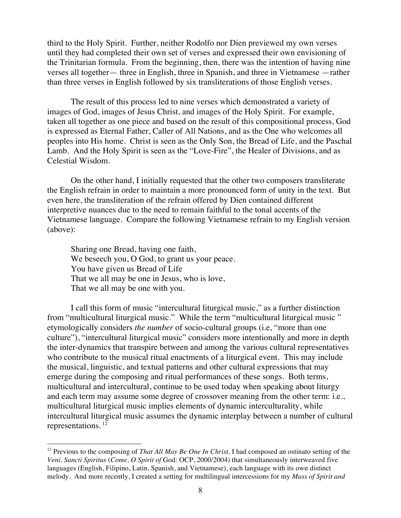third to the Holy Spirit. Further, neither Rodolfo nor Dien previewed my own verses until they had completed their own set of verses and expressed their own envisioning of the Trinitarian formula*.* From the beginning, then, there was the intention of having nine verses all together— three in English, three in Spanish, and three in Vietnamese —rather than three verses in English followed by six transliterations of those English verses.

The result of this process led to nine verses which demonstrated a variety of images of God, images of Jesus Christ, and images of the Holy Spirit. For example, taken all together as one piece and based on the result of this compositional process, God is expressed as Eternal Father, Caller of All Nations, and as the One who welcomes all peoples into His home. Christ is seen as the Only Son, the Bread of Life, and the Paschal Lamb. And the Holy Spirit is seen as the "Love-Fire", the Healer of Divisions, and as Celestial Wisdom.

On the other hand, I initially requested that the other two composers transliterate the English refrain in order to maintain a more pronounced form of unity in the text. But even here, the transliteration of the refrain offered by Dien contained different interpretive nuances due to the need to remain faithful to the tonal accents of the Vietnamese language. Compare the following Vietnamese refrain to my English version (above):

Sharing one Bread, having one faith, We beseech you, O God, to grant us your peace. You have given us Bread of Life That we all may be one in Jesus, who is love, That we all may be one with you.

 $\overline{a}$ 

I call this form of music "intercultural liturgical music," as a further distinction from "multicultural liturgical music." While the term "multicultural liturgical music " etymologically considers *the number* of socio-cultural groups (i.e, "more than one culture"), "intercultural liturgical music" considers more intentionally and more in depth the inter-dynamics that transpire between and among the various cultural representatives who contribute to the musical ritual enactments of a liturgical event. This may include the musical, linguistic, and textual patterns and other cultural expressions that may emerge during the composing and ritual performances of these songs. Both terms, multicultural and intercultural, continue to be used today when speaking about liturgy and each term may assume some degree of crossover meaning from the other term: i.e., multicultural liturgical music implies elements of dynamic interculturality, while intercultural liturgical music assumes the dynamic interplay between a number of cultural representations. <sup>12</sup>

<sup>&</sup>lt;sup>12</sup> Previous to the composing of *That All May Be One In Christ*, I had composed an ostinato setting of the *Veni, Sancti Spiritus* (*Come, O Spirit of* God: OCP, 2000/2004) that simultaneously interweaved five languages (English, Filipino, Latin, Spanish, and Vietnamese), each language with its own distinct melody. And more recently, I created a setting for multilingual intercessions for my *Mass of Spirit and*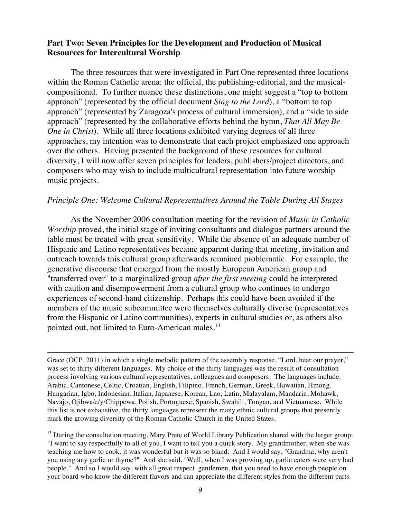## **Part Two: Seven Principles for the Development and Production of Musical Resources for Intercultural Worship**

The three resources that were investigated in Part One represented three locations within the Roman Catholic arena: the official, the publishing-editorial, and the musicalcompositional. To further nuance these distinctions, one might suggest a "top to bottom approach" (represented by the official document *Sing to the Lord*), a "bottom to top approach" (represented by Zaragoza's process of cultural immersion), and a "side to side approach" (represented by the collaborative efforts behind the hymn, *That All May Be One in Christ*). While all three locations exhibited varying degrees of all three approaches, my intention was to demonstrate that each project emphasized one approach over the others. Having presented the background of these resources for cultural diversity, I will now offer seven principles for leaders, publishers/project directors, and composers who may wish to include multicultural representation into future worship music projects.

#### *Principle One: Welcome Cultural Representatives Around the Table During All Stages*

As the November 2006 consultation meeting for the revision of *Music in Catholic Worship* proved, the initial stage of inviting consultants and dialogue partners around the table must be treated with great sensitivity. While the absence of an adequate number of Hispanic and Latino representatives became apparent during that meeting, invitation and outreach towards this cultural group afterwards remained problematic. For example, the generative discourse that emerged from the mostly European American group and "transferred over" to a marginalized group *after the first meeting* could be interpreted with caution and disempowerment from a cultural group who continues to undergo experiences of second-hand citizenship. Perhaps this could have been avoided if the members of the music subcommittee were themselves culturally diverse (representatives from the Hispanic or Latino communities), experts in cultural studies or, as others also pointed out, not limited to Euro-American males.<sup>13</sup>

Grace (OCP, 2011) in which a single melodic pattern of the assembly response, "Lord, hear our prayer," was set to thirty different languages. My choice of the thirty languages was the result of consultation process involving various cultural representatives, colleagues and composers. The languages include: Arabic, Cantonese, Celtic, Croatian, English, Filipino, French, German, Greek, Hawaiian, Hmong, Hungarian, Igbo, Indonesian, Italian, Japanese, Korean, Lao, Latin, Malayalam, Mandarin, Mohawk, Navajo, Ojibwa/e/y/Chippewa, Polish, Portuguese, Spanish, Swahili, Tongan, and Vietnamese. While this list is not exhaustive, the thirty languages represent the many ethnic cultural groups that presently mark the growing diversity of the Roman Catholic Church in the United States.

 $\overline{a}$ 

 $<sup>13</sup>$  During the consultation meeting, Mary Prete of World Library Publication shared with the larger group:</sup> "I want to say respectfully to all of you, I want to tell you a quick story. My grandmother, when she was teaching me how to cook, it was wonderful but it was so bland. And I would say, "Grandma, why aren't you using any garlic or thyme?" And she said, "Well, when I was growing up, garlic eaters were very bad people." And so I would say, with all great respect, gentlemen, that you need to have enough people on your board who know the different flavors and can appreciate the different styles from the different parts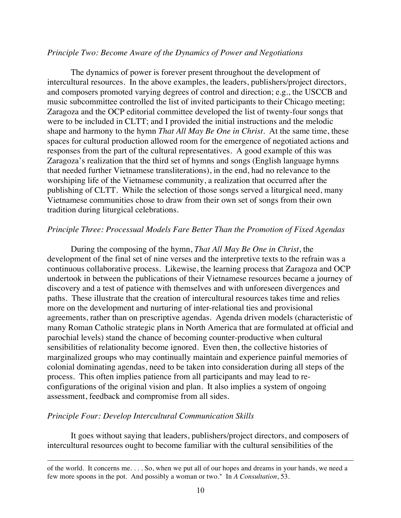### *Principle Two: Become Aware of the Dynamics of Power and Negotiations*

The dynamics of power is forever present throughout the development of intercultural resources. In the above examples, the leaders, publishers/project directors, and composers promoted varying degrees of control and direction; e.g., the USCCB and music subcommittee controlled the list of invited participants to their Chicago meeting; Zaragoza and the OCP editorial committee developed the list of twenty-four songs that were to be included in CLTT; and I provided the initial instructions and the melodic shape and harmony to the hymn *That All May Be One in Christ.* At the same time, these spaces for cultural production allowed room for the emergence of negotiated actions and responses from the part of the cultural representatives. A good example of this was Zaragoza's realization that the third set of hymns and songs (English language hymns that needed further Vietnamese transliterations), in the end, had no relevance to the worshiping life of the Vietnamese community, a realization that occurred after the publishing of CLTT. While the selection of those songs served a liturgical need, many Vietnamese communities chose to draw from their own set of songs from their own tradition during liturgical celebrations.

## *Principle Three: Processual Models Fare Better Than the Promotion of Fixed Agendas*

During the composing of the hymn, *That All May Be One in Christ*, the development of the final set of nine verses and the interpretive texts to the refrain was a continuous collaborative process. Likewise, the learning process that Zaragoza and OCP undertook in between the publications of their Vietnamese resources became a journey of discovery and a test of patience with themselves and with unforeseen divergences and paths. These illustrate that the creation of intercultural resources takes time and relies more on the development and nurturing of inter-relational ties and provisional agreements, rather than on prescriptive agendas. Agenda driven models (characteristic of many Roman Catholic strategic plans in North America that are formulated at official and parochial levels) stand the chance of becoming counter-productive when cultural sensibilities of relationality become ignored. Even then, the collective histories of marginalized groups who may continually maintain and experience painful memories of colonial dominating agendas, need to be taken into consideration during all steps of the process. This often implies patience from all participants and may lead to reconfigurations of the original vision and plan. It also implies a system of ongoing assessment, feedback and compromise from all sides.

## *Principle Four: Develop Intercultural Communication Skills*

 $\overline{a}$ 

It goes without saying that leaders, publishers/project directors, and composers of intercultural resources ought to become familiar with the cultural sensibilities of the

of the world. It concerns me. . . . So, when we put all of our hopes and dreams in your hands, we need a few more spoons in the pot. And possibly a woman or two." In *A Consultation*, 53.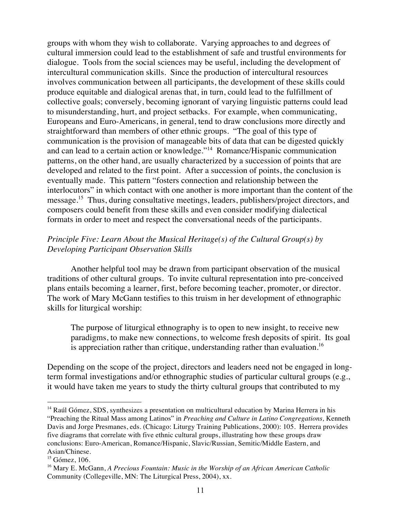groups with whom they wish to collaborate. Varying approaches to and degrees of cultural immersion could lead to the establishment of safe and trustful environments for dialogue. Tools from the social sciences may be useful, including the development of intercultural communication skills. Since the production of intercultural resources involves communication between all participants, the development of these skills could produce equitable and dialogical arenas that, in turn, could lead to the fulfillment of collective goals; conversely, becoming ignorant of varying linguistic patterns could lead to misunderstanding, hurt, and project setbacks. For example, when communicating, Europeans and Euro-Americans, in general, tend to draw conclusions more directly and straightforward than members of other ethnic groups. "The goal of this type of communication is the provision of manageable bits of data that can be digested quickly and can lead to a certain action or knowledge."14 Romance/Hispanic communication patterns, on the other hand, are usually characterized by a succession of points that are developed and related to the first point. After a succession of points, the conclusion is eventually made. This pattern "fosters connection and relationship between the interlocutors" in which contact with one another is more important than the content of the message.15 Thus, during consultative meetings, leaders, publishers/project directors, and composers could benefit from these skills and even consider modifying dialectical formats in order to meet and respect the conversational needs of the participants.

## *Principle Five: Learn About the Musical Heritage(s) of the Cultural Group(s) by Developing Participant Observation Skills*

Another helpful tool may be drawn from participant observation of the musical traditions of other cultural groups. To invite cultural representation into pre-conceived plans entails becoming a learner, first, before becoming teacher, promoter, or director. The work of Mary McGann testifies to this truism in her development of ethnographic skills for liturgical worship:

The purpose of liturgical ethnography is to open to new insight, to receive new paradigms, to make new connections, to welcome fresh deposits of spirit. Its goal is appreciation rather than critique, understanding rather than evaluation.<sup>16</sup>

Depending on the scope of the project, directors and leaders need not be engaged in longterm formal investigations and/or ethnographic studies of particular cultural groups (e.g., it would have taken me years to study the thirty cultural groups that contributed to my

<sup>&</sup>lt;sup>14</sup> Raúl Gómez, SDS, synthesizes a presentation on multicultural education by Marina Herrera in his "Preaching the Ritual Mass among Latinos" in *Preaching and Culture in Latino Congregations,* Kenneth Davis and Jorge Presmanes, eds. (Chicago: Liturgy Training Publications, 2000): 105. Herrera provides five diagrams that correlate with five ethnic cultural groups, illustrating how these groups draw conclusions: Euro-American, Romance/Hispanic, Slavic/Russian, Semitic/Middle Eastern, and Asian/Chinese.

 $15$  Gómez, 106.

<sup>16</sup> Mary E. McGann, *A Precious Fountain: Music in the Worship of an African American Catholic*  Community (Collegeville, MN: The Liturgical Press, 2004), xx.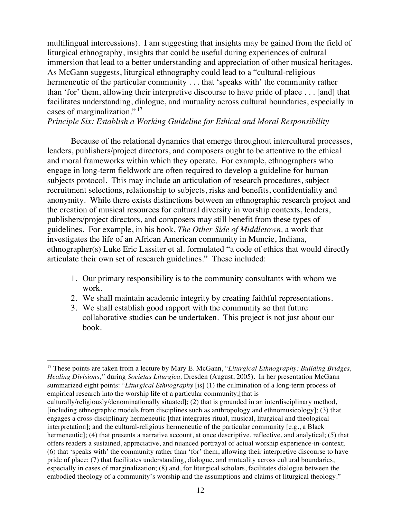multilingual intercessions). I am suggesting that insights may be gained from the field of liturgical ethnography, insights that could be useful during experiences of cultural immersion that lead to a better understanding and appreciation of other musical heritages. As McGann suggests, liturgical ethnography could lead to a "cultural-religious hermeneutic of the particular community . . . that 'speaks with' the community rather than 'for' them, allowing their interpretive discourse to have pride of place . . . [and] that facilitates understanding, dialogue, and mutuality across cultural boundaries, especially in cases of marginalization." 17

# *Principle Six: Establish a Working Guideline for Ethical and Moral Responsibility*

Because of the relational dynamics that emerge throughout intercultural processes, leaders, publishers/project directors, and composers ought to be attentive to the ethical and moral frameworks within which they operate. For example, ethnographers who engage in long-term fieldwork are often required to develop a guideline for human subjects protocol. This may include an articulation of research procedures, subject recruitment selections, relationship to subjects, risks and benefits, confidentiality and anonymity. While there exists distinctions between an ethnographic research project and the creation of musical resources for cultural diversity in worship contexts, leaders, publishers/project directors, and composers may still benefit from these types of guidelines. For example, in his book, *The Other Side of Middletown,* a work that investigates the life of an African American community in Muncie, Indiana, ethnographer(s) Luke Eric Lassiter et al. formulated "a code of ethics that would directly articulate their own set of research guidelines." These included:

- 1. Our primary responsibility is to the community consultants with whom we work.
- 2. We shall maintain academic integrity by creating faithful representations.
- 3. We shall establish good rapport with the community so that future collaborative studies can be undertaken. This project is not just about our book.

<sup>&</sup>lt;sup>17</sup> These points are taken from a lecture by Mary E. McGann, "Liturgical Ethnography: Building Bridges, *Healing Divisions,"* during *Societas Liturgica,* Dresden (August, 2005). In her presentation McGann summarized eight points: "*Liturgical Ethnography* [is] (1) the culmination of a long-term process of empirical research into the worship life of a particular community;[that is

culturally/religiously/denominationally situated]; (2) that is grounded in an interdisciplinary method, [including ethnographic models from disciplines such as anthropology and ethnomusicology]; (3) that engages a cross-disciplinary hermeneutic [that integrates ritual, musical, liturgical and theological interpretation]; and the cultural-religious hermeneutic of the particular community [e.g., a Black hermeneutic]; (4) that presents a narrative account, at once descriptive, reflective, and analytical; (5) that offers readers a sustained, appreciative, and nuanced portrayal of actual worship experience-in-context; (6) that 'speaks with' the community rather than 'for' them, allowing their interpretive discourse to have pride of place; (7) that facilitates understanding, dialogue, and mutuality across cultural boundaries, especially in cases of marginalization; (8) and, for liturgical scholars, facilitates dialogue between the embodied theology of a community's worship and the assumptions and claims of liturgical theology."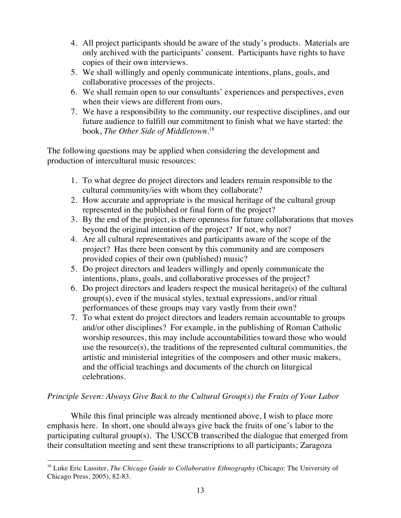- 4. All project participants should be aware of the study's products. Materials are only archived with the participants' consent. Participants have rights to have copies of their own interviews.
- 5. We shall willingly and openly communicate intentions, plans, goals, and collaborative processes of the projects.
- 6. We shall remain open to our consultants' experiences and perspectives, even when their views are different from ours.
- 7. We have a responsibility to the community, our respective disciplines, and our future audience to fulfill our commitment to finish what we have started: the book, *The Other Side of Middletown*. 18

The following questions may be applied when considering the development and production of intercultural music resources:

- 1. To what degree do project directors and leaders remain responsible to the cultural community/ies with whom they collaborate?
- 2. How accurate and appropriate is the musical heritage of the cultural group represented in the published or final form of the project?
- 3. By the end of the project, is there openness for future collaborations that moves beyond the original intention of the project? If not, why not?
- 4. Are all cultural representatives and participants aware of the scope of the project? Has there been consent by this community and are composers provided copies of their own (published) music?
- 5. Do project directors and leaders willingly and openly communicate the intentions, plans, goals, and collaborative processes of the project?
- 6. Do project directors and leaders respect the musical heritage(s) of the cultural group(s), even if the musical styles, textual expressions, and/or ritual performances of these groups may vary vastly from their own?
- 7. To what extent do project directors and leaders remain accountable to groups and/or other disciplines? For example, in the publishing of Roman Catholic worship resources, this may include accountabilities toward those who would use the resource(s), the traditions of the represented cultural communities, the artistic and ministerial integrities of the composers and other music makers, and the official teachings and documents of the church on liturgical celebrations.

# *Principle Seven: Always Give Back to the Cultural Group(s) the Fruits of Your Labor*

While this final principle was already mentioned above, I wish to place more emphasis here. In short, one should always give back the fruits of one's labor to the participating cultural group(s). The USCCB transcribed the dialogue that emerged from their consultation meeting and sent these transcriptions to all participants; Zaragoza

 $\overline{a}$ <sup>18</sup> Luke Eric Lassiter, *The Chicago Guide to Collaborative Ethnography* (Chicago: The University of Chicago Press, 2005), 82-83.